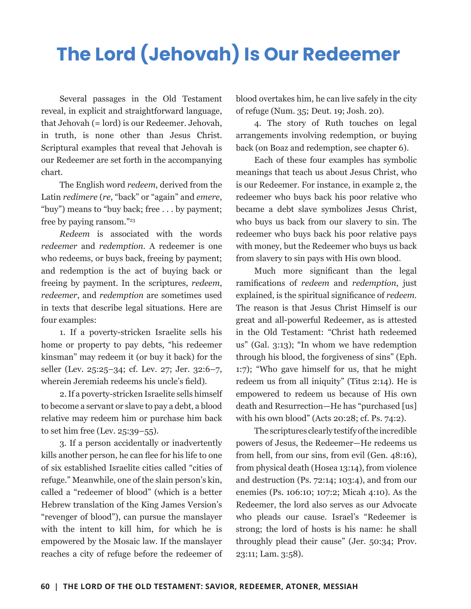## **The Lord (Jehovah) Is Our Redeemer**

Several passages in the Old Testament reveal, in explicit and straightforward language, that Jehovah (= lord) is our Redeemer. Jehovah, in truth, is none other than Jesus Christ. Scriptural examples that reveal that Jehovah is our Redeemer are set forth in the accompanying chart.

The English word *redeem*, derived from the Latin *redimere* (*re*, "back" or "again" and *emere*, "buy") means to "buy back; free . . . by payment; free by paying ransom."23

*Redeem* is associated with the words *redeemer* and *redemption*. A redeemer is one who redeems, or buys back, freeing by payment; and redemption is the act of buying back or freeing by payment. In the scriptures, *redeem*, *redeemer*, and *redemption* are sometimes used in texts that describe legal situations. Here are four examples:

1. If a poverty-stricken Israelite sells his home or property to pay debts, "his redeemer kinsman" may redeem it (or buy it back) for the seller (Lev. 25:25–34; cf. Lev. 27; Jer. 32:6–7, wherein Jeremiah redeems his uncle's field).

2. If a poverty-stricken Israelite sells himself to become a servant or slave to pay a debt, a blood relative may redeem him or purchase him back to set him free (Lev. 25:39–55).

3. If a person accidentally or inadvertently kills another person, he can flee for his life to one of six established Israelite cities called "cities of refuge." Meanwhile, one of the slain person's kin, called a "redeemer of blood" (which is a better Hebrew translation of the King James Version's "revenger of blood"), can pursue the manslayer with the intent to kill him, for which he is empowered by the Mosaic law. If the manslayer reaches a city of refuge before the redeemer of blood overtakes him, he can live safely in the city of refuge (Num. 35; Deut. 19; Josh. 20).

4. The story of Ruth touches on legal arrangements involving redemption, or buying back (on Boaz and redemption, see chapter 6).

Each of these four examples has symbolic meanings that teach us about Jesus Christ, who is our Redeemer. For instance, in example 2, the redeemer who buys back his poor relative who became a debt slave symbolizes Jesus Christ, who buys us back from our slavery to sin. The redeemer who buys back his poor relative pays with money, but the Redeemer who buys us back from slavery to sin pays with His own blood.

Much more significant than the legal ramifications of *redeem* and *redemption*, just explained, is the spiritual significance of *redeem.* The reason is that Jesus Christ Himself is our great and all-powerful Redeemer, as is attested in the Old Testament: "Christ hath redeemed us" (Gal. 3:13); "In whom we have redemption through his blood, the forgiveness of sins" (Eph. 1:7); "Who gave himself for us, that he might redeem us from all iniquity" (Titus 2:14). He is empowered to redeem us because of His own death and Resurrection—He has "purchased [us] with his own blood" (Acts 20:28; cf. Ps. 74:2).

The scriptures clearly testify of the incredible powers of Jesus, the Redeemer—He redeems us from hell, from our sins, from evil (Gen. 48:16), from physical death (Hosea 13:14), from violence and destruction (Ps. 72:14; 103:4), and from our enemies (Ps. 106:10; 107:2; Micah 4:10). As the Redeemer, the lord also serves as our Advocate who pleads our cause. Israel's "Redeemer is strong; the lord of hosts is his name: he shall throughly plead their cause" (Jer. 50:34; Prov. 23:11; Lam. 3:58).